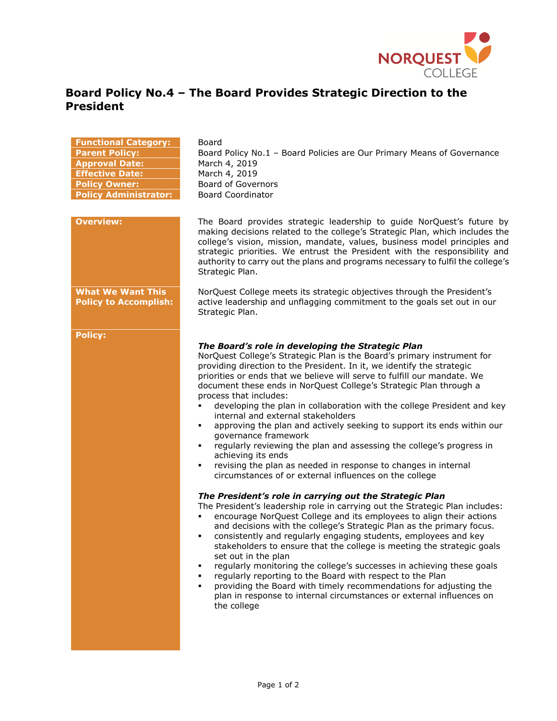

## **Board Policy No.4 – The Board Provides Strategic Direction to the President**

| <b>Functional Category:</b><br><b>Parent Policy:</b><br><b>Approval Date:</b><br><b>Effective Date:</b><br><b>Policy Owner:</b><br><b>Policy Administrator:</b> | Board<br>Board Policy No.1 - Board Policies are Our Primary Means of Governance<br>March 4, 2019<br>March 4, 2019<br><b>Board of Governors</b><br><b>Board Coordinator</b>                                                                                                                                                                                                                                                                                                                                                                                                                                                                                                                                                                                                                                                                                                                                                                                                                                                                                                                                                                                                                                                                                                                                                                                                                                                                                                                                                                                                                                                          |
|-----------------------------------------------------------------------------------------------------------------------------------------------------------------|-------------------------------------------------------------------------------------------------------------------------------------------------------------------------------------------------------------------------------------------------------------------------------------------------------------------------------------------------------------------------------------------------------------------------------------------------------------------------------------------------------------------------------------------------------------------------------------------------------------------------------------------------------------------------------------------------------------------------------------------------------------------------------------------------------------------------------------------------------------------------------------------------------------------------------------------------------------------------------------------------------------------------------------------------------------------------------------------------------------------------------------------------------------------------------------------------------------------------------------------------------------------------------------------------------------------------------------------------------------------------------------------------------------------------------------------------------------------------------------------------------------------------------------------------------------------------------------------------------------------------------------|
| <b>Overview:</b>                                                                                                                                                | The Board provides strategic leadership to guide NorQuest's future by<br>making decisions related to the college's Strategic Plan, which includes the<br>college's vision, mission, mandate, values, business model principles and<br>strategic priorities. We entrust the President with the responsibility and<br>authority to carry out the plans and programs necessary to fulfil the college's<br>Strategic Plan.                                                                                                                                                                                                                                                                                                                                                                                                                                                                                                                                                                                                                                                                                                                                                                                                                                                                                                                                                                                                                                                                                                                                                                                                              |
| <b>What We Want This</b><br><b>Policy to Accomplish:</b>                                                                                                        | NorQuest College meets its strategic objectives through the President's<br>active leadership and unflagging commitment to the goals set out in our<br>Strategic Plan.                                                                                                                                                                                                                                                                                                                                                                                                                                                                                                                                                                                                                                                                                                                                                                                                                                                                                                                                                                                                                                                                                                                                                                                                                                                                                                                                                                                                                                                               |
| <b>Policy:</b>                                                                                                                                                  | The Board's role in developing the Strategic Plan<br>NorQuest College's Strategic Plan is the Board's primary instrument for<br>providing direction to the President. In it, we identify the strategic<br>priorities or ends that we believe will serve to fulfill our mandate. We<br>document these ends in NorQuest College's Strategic Plan through a<br>process that includes:<br>developing the plan in collaboration with the college President and key<br>٠<br>internal and external stakeholders<br>approving the plan and actively seeking to support its ends within our<br>٠<br>governance framework<br>regularly reviewing the plan and assessing the college's progress in<br>٠<br>achieving its ends<br>revising the plan as needed in response to changes in internal<br>٠<br>circumstances of or external influences on the college<br>The President's role in carrying out the Strategic Plan<br>The President's leadership role in carrying out the Strategic Plan includes:<br>encourage NorQuest College and its employees to align their actions<br>and decisions with the college's Strategic Plan as the primary focus.<br>consistently and regularly engaging students, employees and key<br>٠<br>stakeholders to ensure that the college is meeting the strategic goals<br>set out in the plan<br>regularly monitoring the college's successes in achieving these goals<br>regularly reporting to the Board with respect to the Plan<br>٠<br>providing the Board with timely recommendations for adjusting the<br>٠<br>plan in response to internal circumstances or external influences on<br>the college |